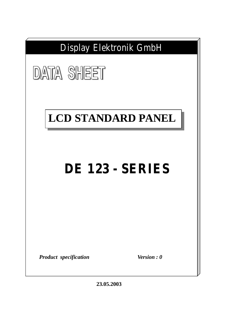

**23.05.2003**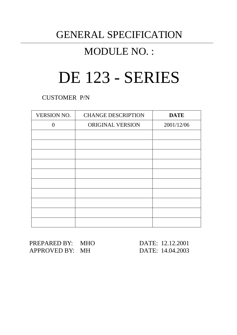# GENERAL SPECIFICATION

# MODULE NO. :

# DE 123 - SERIES

CUSTOMER P/N

| <b>VERSION NO.</b> | <b>CHANGE DESCRIPTION</b> | <b>DATE</b> |
|--------------------|---------------------------|-------------|
| $\Omega$           | ORIGINAL VERSION          | 2001/12/06  |
|                    |                           |             |
|                    |                           |             |
|                    |                           |             |
|                    |                           |             |
|                    |                           |             |
|                    |                           |             |
|                    |                           |             |
|                    |                           |             |
|                    |                           |             |
|                    |                           |             |

PREPARED BY: MHO DATE: 12.12.2001 APPROVED BY: MH DATE: 14.04.2003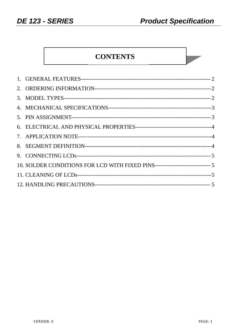**College** 

# **CONTENTS**

| 10. SOLDER CONDITIONS FOR LCD WITH FIXED PINS------------------------------ 5 |  |
|-------------------------------------------------------------------------------|--|
|                                                                               |  |
|                                                                               |  |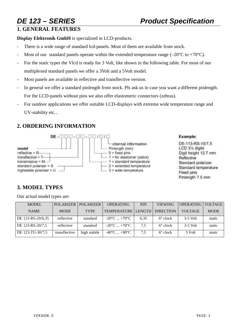# **1. GENERAL FEATURES**

**Display Elektronik GmbH** is specialized in LCD-products.

- There is a wide range of standard lcd-panels. Most of them are available from stock.
- Most of our standard panels operate within the extended temperature range (–20 $^{\circ}$ C to +70 $^{\circ}$ C).
- For the static types the Vlcd is ready for 3 Volt, like shown in the following table. For most of our multiplexed standard panels we offer a 3Volt and a 5Volt model.
- Most panels are available in reflective and transflective version.
- In general we offer a standard pinlength from stock. Pls ask us in case you want a different pinlength. For the LCD-panels without pins we also offer elastomeric connectors (zebras).
- For outdoor applications we offer suitable LCD-displays with extreme wide temperature range and UV-stability etc...

# **2. ORDERING INFORMATION**



### Example:

DE-113-RS-10/7.5 LCD 31/2 digits Digit height 12.7 mm Reflective Standard polarizer Standard temperature Fixed pins Pinlength 7.5 mm

# **3. MODEL TYPES**

Our actual model types are:

| <b>MODEL</b>      | POLARIZER     | <b>POLARIZER</b> | <b>OPERATING</b>                | <b>PIN</b> | <b>VIEWING</b>    | <b>OPERATING</b> | <b>VOLTAGE</b> |
|-------------------|---------------|------------------|---------------------------------|------------|-------------------|------------------|----------------|
| <b>NAME</b>       | <b>MODE</b>   | <b>TYPE</b>      | TEMPERATURE   LENGTH            |            | <b>DIRECTION</b>  | <b>VOLTAGE</b>   | <b>MODE</b>    |
| DE 123-RS-20/6,35 | reflective    | standard         | $-20^{\circ}$ C $+70^{\circ}$ C | 6.35       | $6^{\circ}$ clock | $3-5$ Volt       | static         |
| DE 123-RS-20/7,5  | reflective    | standard         | $-20^{\circ}$ C $+70^{\circ}$ C | 7.5        | $6^{\circ}$ clock | $3-5$ Volt       | static         |
| DE 123-TU-30/7,5  | transflective | high stabile     | $-40^{\circ}$ C $+90^{\circ}$ C | 7,5        | $6^{\circ}$ clock | 5 Volt           | static         |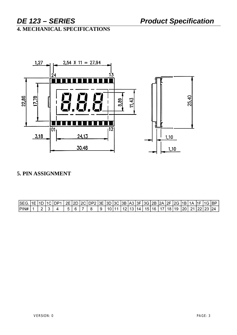# **4. MECHANICAL SPECIFICATIONS**



# 5. PIN ASSIGNMENT

| SEG. | 11E I1D I | 11C IDP1 |        |  | 2E   2D   2C   DP2   3E   3D   3C   3B   A3   3F   3G   2B   2A   2F   2G   1B   1 |    |                 |  |       |                 |               |  |               |     | 1A    | .  1F  1G  BP |  |
|------|-----------|----------|--------|--|------------------------------------------------------------------------------------|----|-----------------|--|-------|-----------------|---------------|--|---------------|-----|-------|---------------|--|
| P N# |           |          | $\sim$ |  |                                                                                    | -9 | 10 <sub>1</sub> |  | 12 13 | 14 <sub>1</sub> | ່ 15   16   . |  | ے∟ 19∣18–11 ' | 120 | 21122 | 23   24       |  |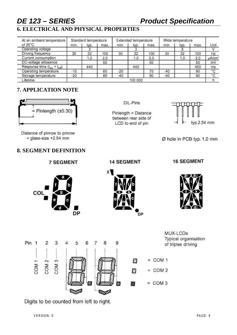# *DE 123 – SERIES Product Specification*

# **6. ELECTRICAL AND PHYSICAL PROPERTIES**

| At an ambient temperature          |         | Standard temperature |      |       | Extended temperature |      | Wide temperature |         |      |              |
|------------------------------------|---------|----------------------|------|-------|----------------------|------|------------------|---------|------|--------------|
| of $25^{\circ}$ C                  | min.    | typ.                 | max. | min.  | typ.                 | max. | min.             | typ.    | max. | Unit         |
| Operating voltage                  |         |                      |      |       | 3                    |      |                  | a       |      |              |
| Driving frequency                  | 30      | 32                   | 100  | 30    | 32                   | 100  | 30               | 32      | 100  | Hz           |
| Current consumption                |         | 1,0                  | 2,0  |       | 1,0                  | 2,0  |                  | $\cdot$ | 2,0  | <b>uA/cm</b> |
| DC-voltage allowance               |         |                      | 50   |       |                      | 50   |                  |         | 50   | mV           |
| Response time $(t_{on} + t_{off})$ |         | 440                  |      |       | 440                  |      |                  |         | 450  | ms           |
| Operating temperature              | $-10$   |                      | 60   | $-20$ |                      | 70   | -40              |         | 90   | $^{\circ}C$  |
| Storage temperature                | $-20$   |                      | 65   | $-40$ |                      | 90   | $-40$            |         | 90   | "C           |
| Lifetime                           | 100 000 |                      |      |       |                      |      |                  |         |      |              |

## **7. APPLICATION NOTE**



Distance of pinrow to pinrow  $=$  glass-size +2.54 mm

# **8. SEGMENT DEFINITION**

**7 SEGMENT** 

DIL-Pins

Pinlength = Distance between rear side of LCD to end of pin



Ø hole in PCB typ. 1,0 mm

# **14 SEGMENT**

### **16 SEGMENT**







Pin 1 3  $\overline{2}$  $\overline{A}$ 5 6 7 8 9  $=$  COM 1  $COM<sub>2</sub>$ Ø COM<sub>1</sub>  $\infty$ COM Ø  $=$  COM 2  $=$  COM 3 繱 凌 الكويتا

MUX-LCDs Typical organisation of triplex driving

Digits to be counted from left to right.

VERSION: 0 PAGE: 4